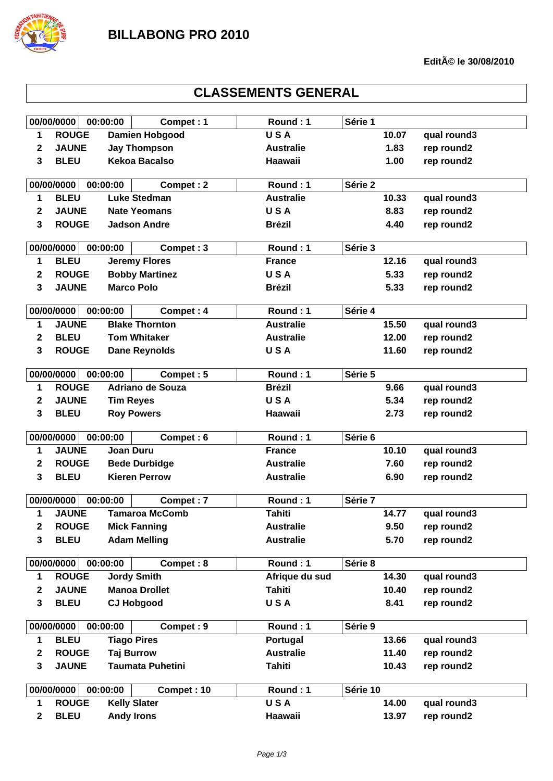

## **CLASSEMENTS GENERAL**

|                                      | 00/00/0000   | 00:00:00         | Compet: 1               | Round: 1         | Série 1  |             |
|--------------------------------------|--------------|------------------|-------------------------|------------------|----------|-------------|
| 1                                    | <b>ROUGE</b> |                  | <b>Damien Hobgood</b>   | <b>USA</b>       | 10.07    | qual round3 |
| 2                                    | <b>JAUNE</b> |                  | <b>Jay Thompson</b>     | <b>Australie</b> | 1.83     | rep round2  |
| 3                                    | <b>BLEU</b>  |                  | <b>Kekoa Bacalso</b>    | <b>Haawaii</b>   | 1.00     | rep round2  |
|                                      |              |                  |                         |                  |          |             |
|                                      | 00/00/0000   | 00:00:00         | Compet: 2               | Round: 1         | Série 2  |             |
| 1                                    | <b>BLEU</b>  |                  | <b>Luke Stedman</b>     | <b>Australie</b> | 10.33    | qual round3 |
| 2                                    | <b>JAUNE</b> |                  | <b>Nate Yeomans</b>     | <b>USA</b>       | 8.83     | rep round2  |
| 3                                    | <b>ROUGE</b> |                  | <b>Jadson Andre</b>     | <b>Brézil</b>    | 4.40     | rep round2  |
|                                      | 00/00/0000   | 00:00:00         | Compet: 3               | Round: 1         | Série 3  |             |
| 1                                    | <b>BLEU</b>  |                  | <b>Jeremy Flores</b>    | <b>France</b>    | 12.16    | qual round3 |
| 2                                    | <b>ROUGE</b> |                  | <b>Bobby Martinez</b>   | <b>USA</b>       | 5.33     | rep round2  |
| 3                                    | <b>JAUNE</b> |                  | <b>Marco Polo</b>       | <b>Brézil</b>    | 5.33     | rep round2  |
|                                      |              |                  |                         |                  |          |             |
|                                      | 00/00/0000   | 00:00:00         | Compet: 4               | Round: 1         | Série 4  |             |
| 1                                    | <b>JAUNE</b> |                  | <b>Blake Thornton</b>   | <b>Australie</b> | 15.50    | qual round3 |
| 2                                    | <b>BLEU</b>  |                  | <b>Tom Whitaker</b>     | <b>Australie</b> | 12.00    | rep round2  |
| 3                                    | <b>ROUGE</b> |                  | <b>Dane Reynolds</b>    | <b>USA</b>       | 11.60    | rep round2  |
|                                      |              |                  |                         |                  |          |             |
|                                      | 00/00/0000   | 00:00:00         | Compet: 5               | Round: 1         | Série 5  |             |
| 1                                    | <b>ROUGE</b> |                  | <b>Adriano de Souza</b> | <b>Brézil</b>    | 9.66     | qual round3 |
| 2                                    | <b>JAUNE</b> | <b>Tim Reyes</b> |                         | <b>USA</b>       | 5.34     | rep round2  |
| 3                                    | <b>BLEU</b>  |                  | <b>Roy Powers</b>       | Haawaii          | 2.73     | rep round2  |
|                                      | 00/00/0000   | 00:00:00         | Compet: 6               | Round: 1         | Série 6  |             |
| 1                                    | <b>JAUNE</b> | <b>Joan Duru</b> |                         | <b>France</b>    | 10.10    | qual round3 |
| 2                                    | <b>ROUGE</b> |                  | <b>Bede Durbidge</b>    | <b>Australie</b> | 7.60     | rep round2  |
| 3                                    | <b>BLEU</b>  |                  | <b>Kieren Perrow</b>    | <b>Australie</b> | 6.90     | rep round2  |
|                                      |              |                  |                         |                  |          |             |
|                                      | 00/00/0000   | 00:00:00         | Compet: 7               | Round: 1         | Série 7  |             |
| 1                                    | <b>JAUNE</b> |                  | <b>Tamaroa McComb</b>   | <b>Tahiti</b>    | 14.77    | qual round3 |
| $\boldsymbol{2}$                     | <b>ROUGE</b> |                  | <b>Mick Fanning</b>     | <b>Australie</b> | 9.50     | rep round2  |
| 3                                    | <b>BLEU</b>  |                  | <b>Adam Melling</b>     | <b>Australie</b> | 5.70     | rep round2  |
|                                      |              |                  |                         |                  |          |             |
|                                      | 00/00/0000   | 00:00:00         | Compet: 8               | Round: 1         | Série 8  |             |
| 1                                    | <b>ROUGE</b> |                  | <b>Jordy Smith</b>      | Afrique du sud   | 14.30    | qual round3 |
| $\mathbf 2$                          | <b>JAUNE</b> |                  | <b>Manoa Drollet</b>    | <b>Tahiti</b>    | 10.40    | rep round2  |
| $\mathbf{3}$                         | <b>BLEU</b>  |                  | <b>CJ Hobgood</b>       | <b>USA</b>       | 8.41     | rep round2  |
|                                      |              |                  |                         |                  |          |             |
|                                      | 00/00/0000   | 00:00:00         | Compet: 9               | Round: 1         | Série 9  |             |
| 1                                    | <b>BLEU</b>  |                  | <b>Tiago Pires</b>      | Portugal         | 13.66    | qual round3 |
| 2                                    | <b>ROUGE</b> |                  | <b>Taj Burrow</b>       | <b>Australie</b> | 11.40    | rep round2  |
| $\overline{\mathbf{3}}$              | <b>JAUNE</b> |                  | <b>Taumata Puhetini</b> | <b>Tahiti</b>    | 10.43    | rep round2  |
| 00/00/0000<br>00:00:00<br>Compet: 10 |              |                  |                         | Round: 1         | Série 10 |             |
| 1                                    | <b>ROUGE</b> |                  | <b>Kelly Slater</b>     | <b>USA</b>       | 14.00    | qual round3 |
| $\mathbf{2}$                         | <b>BLEU</b>  |                  | <b>Andy Irons</b>       | Haawaii          | 13.97    | rep round2  |
|                                      |              |                  |                         |                  |          |             |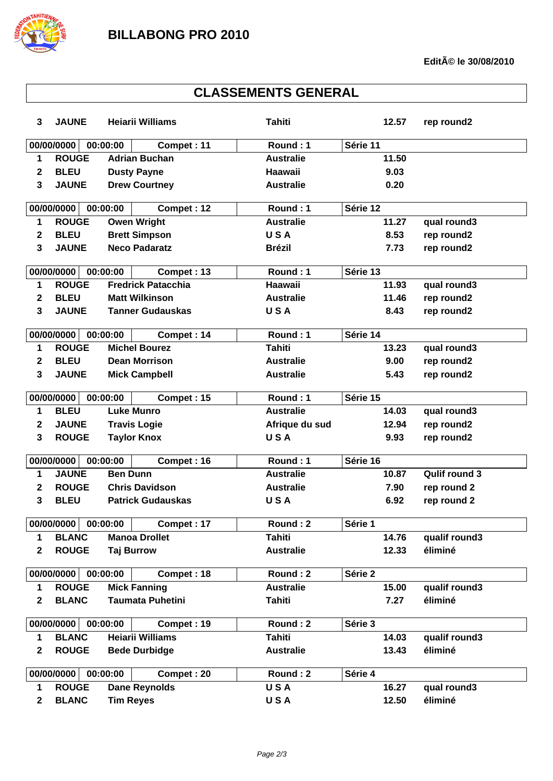

| <b>CLASSEMENTS GENERAL</b> |              |                       |                           |                  |          |               |
|----------------------------|--------------|-----------------------|---------------------------|------------------|----------|---------------|
| $\mathbf{3}$               | <b>JAUNE</b> |                       | <b>Heiarii Williams</b>   | <b>Tahiti</b>    | 12.57    | rep round2    |
|                            | 00/00/0000   | 00:00:00              | Compet: 11                | Round: 1         | Série 11 |               |
| 1                          | <b>ROUGE</b> | <b>Adrian Buchan</b>  |                           | <b>Australie</b> | 11.50    |               |
| $\mathbf{2}$               | <b>BLEU</b>  | <b>Dusty Payne</b>    |                           | Haawaii          | 9.03     |               |
| 3                          | <b>JAUNE</b> | <b>Drew Courtney</b>  |                           | <b>Australie</b> | 0.20     |               |
|                            | 00/00/0000   | 00:00:00              | Compet: 12                | Round: 1         | Série 12 |               |
| 1                          | <b>ROUGE</b> | <b>Owen Wright</b>    |                           | <b>Australie</b> | 11.27    | qual round3   |
| $\mathbf{2}$               | <b>BLEU</b>  | <b>Brett Simpson</b>  |                           | <b>USA</b>       | 8.53     | rep round2    |
| 3                          | <b>JAUNE</b> | <b>Neco Padaratz</b>  |                           | <b>Brézil</b>    | 7.73     | rep round2    |
|                            | 00/00/0000   | 00:00:00              | Compet: 13                | Round: 1         | Série 13 |               |
| 1                          | <b>ROUGE</b> |                       | <b>Fredrick Patacchia</b> | <b>Haawaii</b>   | 11.93    | qual round3   |
| $\mathbf{2}$               | <b>BLEU</b>  | <b>Matt Wilkinson</b> |                           | <b>Australie</b> | 11.46    | rep round2    |
| 3                          | <b>JAUNE</b> |                       | <b>Tanner Gudauskas</b>   | <b>USA</b>       | 8.43     | rep round2    |
|                            | 00/00/0000   | 00:00:00              | Compet: 14                | Round: 1         | Série 14 |               |
| 1                          | <b>ROUGE</b> | <b>Michel Bourez</b>  |                           | <b>Tahiti</b>    | 13.23    | qual round3   |
| $\mathbf{2}$               | <b>BLEU</b>  | <b>Dean Morrison</b>  |                           | <b>Australie</b> | 9.00     | rep round2    |
| 3                          | <b>JAUNE</b> | <b>Mick Campbell</b>  |                           | <b>Australie</b> | 5.43     | rep round2    |
|                            | 00/00/0000   | 00:00:00              | Compet: 15                | Round: 1         | Série 15 |               |
| 1                          | <b>BLEU</b>  | <b>Luke Munro</b>     |                           | <b>Australie</b> | 14.03    | qual round3   |
| 2                          | <b>JAUNE</b> | <b>Travis Logie</b>   |                           | Afrique du sud   | 12.94    | rep round2    |
| 3                          | <b>ROUGE</b> | <b>Taylor Knox</b>    |                           | <b>USA</b>       | 9.93     | rep round2    |
|                            | 00/00/0000   | 00:00:00              | Compet: 16                | Round: 1         | Série 16 |               |
| 1                          | <b>JAUNE</b> | <b>Ben Dunn</b>       |                           | <b>Australie</b> | 10.87    | Qulif round 3 |
| 2                          | <b>ROUGE</b> |                       | <b>Chris Davidson</b>     | <b>Australie</b> | 7.90     | rep round 2   |
| 3                          | <b>BLEU</b>  |                       | <b>Patrick Gudauskas</b>  | USA              | 6.92     | rep round 2   |
|                            | 00/00/0000   | 00:00:00              | Compet: 17                | Round: 2         | Série 1  |               |
| 1                          | <b>BLANC</b> | <b>Manoa Drollet</b>  |                           | <b>Tahiti</b>    | 14.76    | qualif round3 |
| $\mathbf 2$                | <b>ROUGE</b> | <b>Taj Burrow</b>     |                           | <b>Australie</b> | 12.33    | éliminé       |
|                            | 00/00/0000   | 00:00:00              | Compet: 18                | Round: 2         | Série 2  |               |
| 1                          | <b>ROUGE</b> | <b>Mick Fanning</b>   |                           | <b>Australie</b> | 15.00    | qualif round3 |
| $\overline{\mathbf{2}}$    | <b>BLANC</b> |                       | <b>Taumata Puhetini</b>   | <b>Tahiti</b>    | 7.27     | éliminé       |
|                            | 00/00/0000   | 00:00:00              | Compet: 19                | Round: 2         | Série 3  |               |
| 1                          | <b>BLANC</b> |                       | <b>Heiarii Williams</b>   | <b>Tahiti</b>    | 14.03    | qualif round3 |
| $\mathbf 2$                | <b>ROUGE</b> | <b>Bede Durbidge</b>  |                           | <b>Australie</b> | 13.43    | éliminé       |
|                            | 00/00/0000   | 00:00:00              | Compet: 20                | Round: 2         | Série 4  |               |
| 1                          | <b>ROUGE</b> |                       | <b>Dane Reynolds</b>      | <b>USA</b>       | 16.27    | qual round3   |
| $\mathbf 2$                | <b>BLANC</b> | <b>Tim Reyes</b>      |                           | USA              | 12.50    | éliminé       |